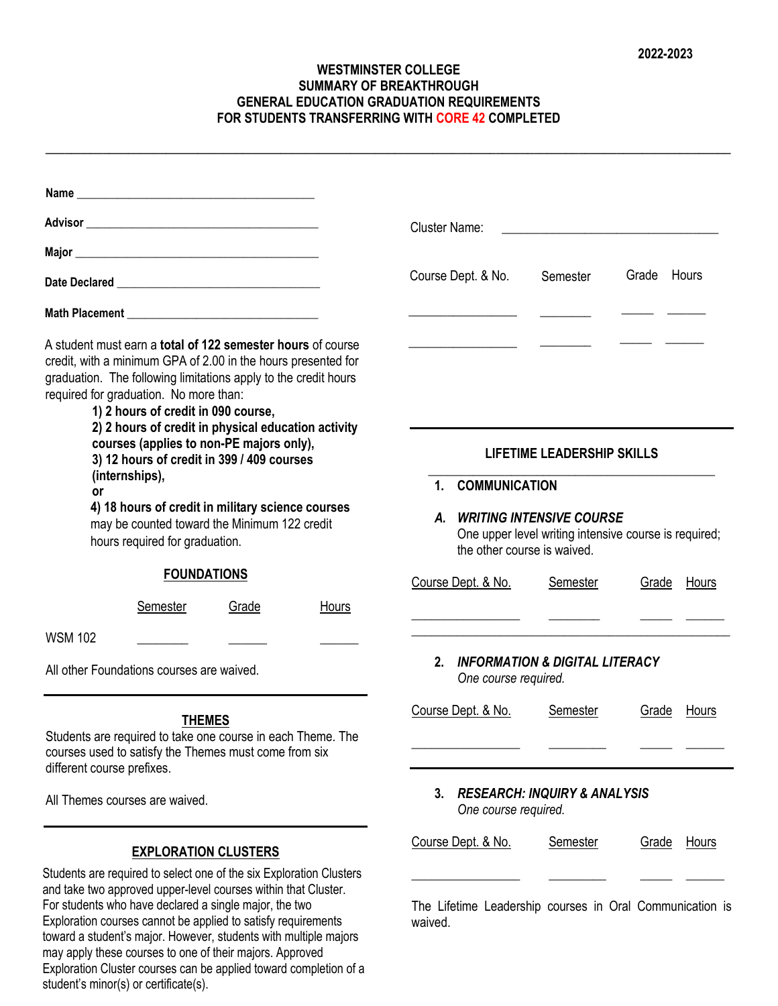## **WESTMINSTER COLLEGE SUMMARY OF BREAKTHROUGH GENERAL EDUCATION GRADUATION REQUIREMENTS FOR STUDENTS TRANSFERRING WITH CORE 42 COMPLETED**

**\_\_\_\_\_\_\_\_\_\_\_\_\_\_\_\_\_\_\_\_\_\_\_\_\_\_\_\_\_\_\_\_\_\_\_\_\_\_\_\_\_\_\_\_\_\_\_\_\_\_\_\_\_\_\_\_\_\_\_\_\_\_\_\_\_\_\_\_\_\_\_\_\_\_\_\_\_\_\_\_\_\_\_\_\_\_\_\_\_\_\_\_\_\_\_\_\_\_\_\_\_\_\_\_\_\_\_\_**

|                                                                                                                                                                                                                                                                                                                                                | <b>Cluster Name:</b><br><u> 1989 - Andrea Station, Amerikaansk politiker (</u>                                                                                |  |  |  |
|------------------------------------------------------------------------------------------------------------------------------------------------------------------------------------------------------------------------------------------------------------------------------------------------------------------------------------------------|---------------------------------------------------------------------------------------------------------------------------------------------------------------|--|--|--|
|                                                                                                                                                                                                                                                                                                                                                |                                                                                                                                                               |  |  |  |
|                                                                                                                                                                                                                                                                                                                                                | Course Dept. & No.<br>Grade Hours<br>Semester                                                                                                                 |  |  |  |
|                                                                                                                                                                                                                                                                                                                                                |                                                                                                                                                               |  |  |  |
| A student must earn a <b>total of 122 semester hours</b> of course<br>credit, with a minimum GPA of 2.00 in the hours presented for<br>graduation. The following limitations apply to the credit hours<br>required for graduation. No more than:<br>1) 2 hours of credit in 090 course,<br>2) 2 hours of credit in physical education activity |                                                                                                                                                               |  |  |  |
| courses (applies to non-PE majors only),<br>3) 12 hours of credit in 399 / 409 courses<br>(internships),                                                                                                                                                                                                                                       | <b>LIFETIME LEADERSHIP SKILLS</b>                                                                                                                             |  |  |  |
| <b>or</b><br>4) 18 hours of credit in military science courses<br>may be counted toward the Minimum 122 credit<br>hours required for graduation.                                                                                                                                                                                               | <b>COMMUNICATION</b><br>1 <sup>1</sup><br>A. WRITING INTENSIVE COURSE<br>One upper level writing intensive course is required;<br>the other course is waived. |  |  |  |
| <b>FOUNDATIONS</b>                                                                                                                                                                                                                                                                                                                             | Course Dept. & No.<br><b>Semester</b><br>Grade<br>Hours                                                                                                       |  |  |  |
| Semester<br>Grade<br>Hours                                                                                                                                                                                                                                                                                                                     | <u> La Carlo Carlo Carlo Carlo Carlo Carlo Carlo Carlo Carlo Carlo Carlo Carlo Carlo Carlo Carlo Carlo Carlo Carlo</u>                                        |  |  |  |
| <b>WSM 102</b>                                                                                                                                                                                                                                                                                                                                 |                                                                                                                                                               |  |  |  |
| All other Foundations courses are waived.                                                                                                                                                                                                                                                                                                      | 2. INFORMATION & DIGITAL LITERACY<br>One course required.                                                                                                     |  |  |  |
| <b>THEMES</b><br>Students are required to take one course in each Theme. The<br>courses used to satisfy the Themes must come from six<br>different course prefixes.                                                                                                                                                                            | Course Dept. & No.<br><b>Semester</b><br>Grade<br>Hours                                                                                                       |  |  |  |
| All Themes courses are waived.                                                                                                                                                                                                                                                                                                                 | <b>RESEARCH: INQUIRY &amp; ANALYSIS</b><br>3.<br>One course required.                                                                                         |  |  |  |
| <b>EXPLORATION CLUSTERS</b>                                                                                                                                                                                                                                                                                                                    | Course Dept. & No.<br>Semester<br><b>Grade</b><br><u>Hours</u>                                                                                                |  |  |  |
| Students are required to select one of the six Exploration Clusters<br>and take two approved upper-level courses within that Cluster.<br>For students who have declared a single major, the two                                                                                                                                                | The Lifetime Leadership courses in Oral Communication is                                                                                                      |  |  |  |

Exploration courses cannot be applied to satisfy requirements toward a student's major. However, students with multiple majors may apply these courses to one of their majors. Approved Exploration Cluster courses can be applied toward completion of a student's minor(s) or certificate(s). waived.